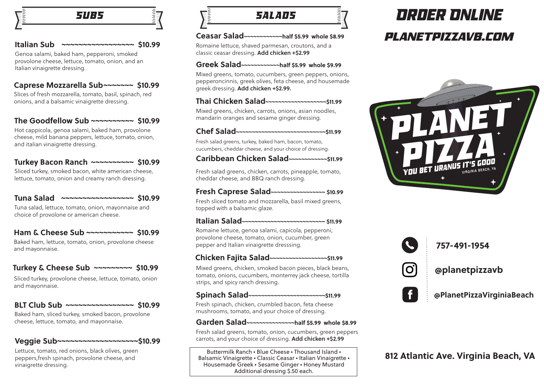

#### **Italian Sub ~~~~~~~~~~~~~~~~~ \$10.99**

Genoa salami, baked ham, pepperoni, smoked provolone cheese, lettuce, tomato, onion, and an Italian vinaigrette dressing.

inininininin<br>T

## **Caprese Mozzarella Sub~~~~~~~ \$10.99**

Slices of fresh mozzarella, tomato, basil, spinach, red onions, and a balsamic vinaigrette dressing.

## **The Goodfellow Sub ~~~~~~~~~~ \$10.99**

Hot cappicola, genoa salami, baked ham, provolone cheese, mild banana peppers, lettuce, tomato, onion, and italian vinaigrette dressing.

## **Turkey Bacon Ranch ~~~~~~~~~~ \$10.99**

Sliced turkey, smoked bacon, white american cheese, lettuce, tomato, onion and creamy ranch dressing.

## **Tuna Salad ~~~~~~~~~~~~~~~~~ \$10.99**

Tuna salad, lettuce, tomato, onion, mayonnaise and choice of provolone or american cheese.

## **Ham & Cheese Sub ~~~~~~~~~~~ \$10.99**

Baked ham, lettuce, tomato, onion, provolone cheese and mayonnaise.

## **Turkey & Cheese Sub ~~~~~~~~~ \$10.99**

Sliced turkey, provolone cheese, lettuce, tomato, onion and mayonnaise.

## **BLT Club Sub ~~~~~~~~~~~~~~~~ \$10.99**

Baked ham, sliced turkey, smoked bacon, provolone cheese, lettuce, tomato, and mayonnaise.

## **Veggie Sub~~~~~~~~~~~~~~~~~~~\$10.99**

Lettuce, tomato, red onions, black olives, green peppers,fresh spinach, provolone cheese, and vinaigrette dressing.

*SALADS*

#### **Ceasar Salad~~~~~~~~~~~~half \$5.99 whole \$8.99**

Romaine lettuce, shaved parmesan, croutons, and a classic ceasar dressing. Add chicken +\$2.99

#### **Greek Salad~~~~~~~~~~~~half \$5.99 whole \$9.99**

Mixed greens, tomato, cucumbers, green peppers, onions, pepperoncinnis, greek olives, feta cheese, and housemade greek dressing. Add chicken +\$2.99.

## **Thai Chicken Salad~~~~~~~~~~~~~~~~~~~\$11.99**

Mixed greens, chicken, carrots, onions, asian noodles, mandarin oranges and sesame ginger dressing.

## **Chef Salad~~~~~~~~~~~~~~~~~~~~~~~~~~~~\$11.99**

Fresh salad greens, turkey, baked ham, bacon, tomato, cucumbers, cheddar cheese, and your choice of dressing.

## **Caribbean Chicken Salad~~~~~~~~~~~~\$11.99**

Fresh salad greens, chicken, carrots, pineapple, tomato, cheddar cheese, and BBQ ranch dressing.

#### **Fresh Caprese Salad~~~~~~~~~~~~~~~~~ \$10.99**

Fresh sliced tomato and mozzarella, basil mixed greens, topped with a balsamic glaze.

#### **Italian Salad~~~~~~~~~~~~~~~~~~~~~~~~~~ \$11.99**

Romaine lettuce, genoa salami, capicola, pepperoni, provolone cheese, tomato, onion, cucumber, green pepper and Italian vinaigrette dresssing.

## **Chicken Fajita Salad~~~~~~~~~~~~~~~~~~\$11.99**

Mixed greens, chicken, smoked bacon pieces, black beans, tomato, onions, cucumbers, monterrey jack cheese, tortilla strips, and spicy ranch dressing.

## **Spinach Salad~~~~~~~~~~~~~~~~~~~~~~~~\$11.99**

Fresh spinach, chicken, crumbled bacon, feta cheese mushrooms, tomato, and your choice of dressing.

#### **Garden Salad~~~~~~~~~~~~~~~half \$5.99 whole \$8.99**

Fresh salad greens, tomato, onion, cucumbers, green peppers carrots, and your choice of dressing. Add chicken +\$2.99

Buttermilk Ranch • Blue Cheese • Thousand Island • Balsamic Vinaigrette • Classic Ceasar • Italian Vinaigrette • Housemade Greek • Sesame Ginger • Honey Mustard Additional dressing \$.50 each.

# *planetpizzavb.com Order Online*





## **757-491-1954**

**@planetpizzavb**



**@PlanetPizzaVirginiaBeach** 

## **812 Atlantic Ave. Virginia Beach, VA**